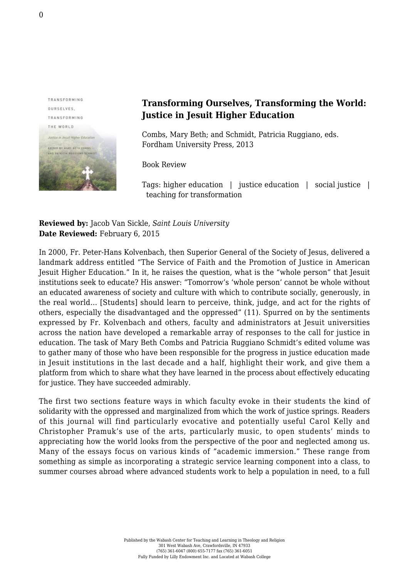

## **Transforming Ourselves, Transforming the World: Justice in Jesuit Higher Education**

Combs, Mary Beth; and Schmidt, Patricia Ruggiano, eds. [Fordham University Press, 2013](http://fordhampress.com/index.php/transforming-ourseves-transforming-the-word-cloth.html)

Book Review

Tags: higher education | justice education | social justice | teaching for transformation

**Reviewed by:** Jacob Van Sickle, *Saint Louis University* **Date Reviewed:** February 6, 2015

In 2000, Fr. Peter-Hans Kolvenbach, then Superior General of the Society of Jesus, delivered a landmark address entitled "The Service of Faith and the Promotion of Justice in American Jesuit Higher Education." In it, he raises the question, what is the "whole person" that Jesuit institutions seek to educate? His answer: "Tomorrow's 'whole person' cannot be whole without an educated awareness of society and culture with which to contribute socially, generously, in the real world… [Students] should learn to perceive, think, judge, and act for the rights of others, especially the disadvantaged and the oppressed" (11). Spurred on by the sentiments expressed by Fr. Kolvenbach and others, faculty and administrators at Jesuit universities across the nation have developed a remarkable array of responses to the call for justice in education. The task of Mary Beth Combs and Patricia Ruggiano Schmidt's edited volume was to gather many of those who have been responsible for the progress in justice education made in Jesuit institutions in the last decade and a half, highlight their work, and give them a platform from which to share what they have learned in the process about effectively educating for justice. They have succeeded admirably.

The first two sections feature ways in which faculty evoke in their students the kind of solidarity with the oppressed and marginalized from which the work of justice springs. Readers of this journal will find particularly evocative and potentially useful Carol Kelly and Christopher Pramuk's use of the arts, particularly music, to open students' minds to appreciating how the world looks from the perspective of the poor and neglected among us. Many of the essays focus on various kinds of "academic immersion." These range from something as simple as incorporating a strategic service learning component into a class, to summer courses abroad where advanced students work to help a population in need, to a full